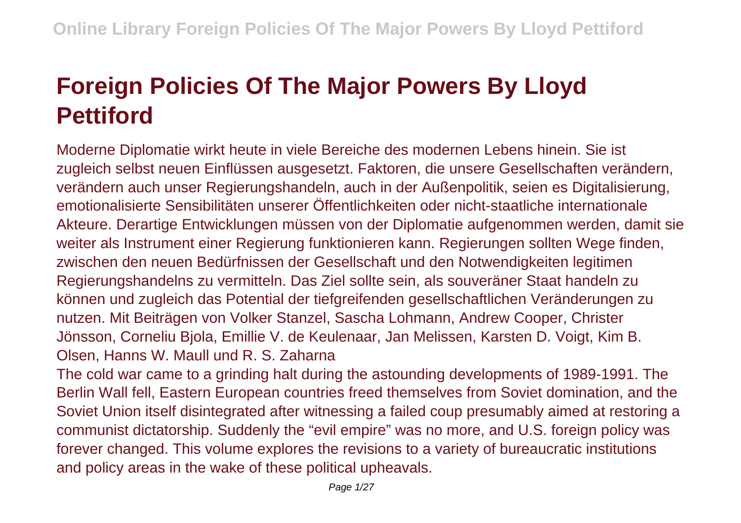## **Foreign Policies Of The Major Powers By Lloyd Pettiford**

Moderne Diplomatie wirkt heute in viele Bereiche des modernen Lebens hinein. Sie ist zugleich selbst neuen Einflüssen ausgesetzt. Faktoren, die unsere Gesellschaften verändern, verändern auch unser Regierungshandeln, auch in der Außenpolitik, seien es Digitalisierung, emotionalisierte Sensibilitäten unserer Öffentlichkeiten oder nicht-staatliche internationale Akteure. Derartige Entwicklungen müssen von der Diplomatie aufgenommen werden, damit sie weiter als Instrument einer Regierung funktionieren kann. Regierungen sollten Wege finden, zwischen den neuen Bedürfnissen der Gesellschaft und den Notwendigkeiten legitimen Regierungshandelns zu vermitteln. Das Ziel sollte sein, als souveräner Staat handeln zu können und zugleich das Potential der tiefgreifenden gesellschaftlichen Veränderungen zu nutzen. Mit Beiträgen von Volker Stanzel, Sascha Lohmann, Andrew Cooper, Christer Jönsson, Corneliu Bjola, Emillie V. de Keulenaar, Jan Melissen, Karsten D. Voigt, Kim B. Olsen, Hanns W. Maull und R. S. Zaharna

The cold war came to a grinding halt during the astounding developments of 1989-1991. The Berlin Wall fell, Eastern European countries freed themselves from Soviet domination, and the Soviet Union itself disintegrated after witnessing a failed coup presumably aimed at restoring a communist dictatorship. Suddenly the "evil empire" was no more, and U.S. foreign policy was forever changed. This volume explores the revisions to a variety of bureaucratic institutions and policy areas in the wake of these political upheavals.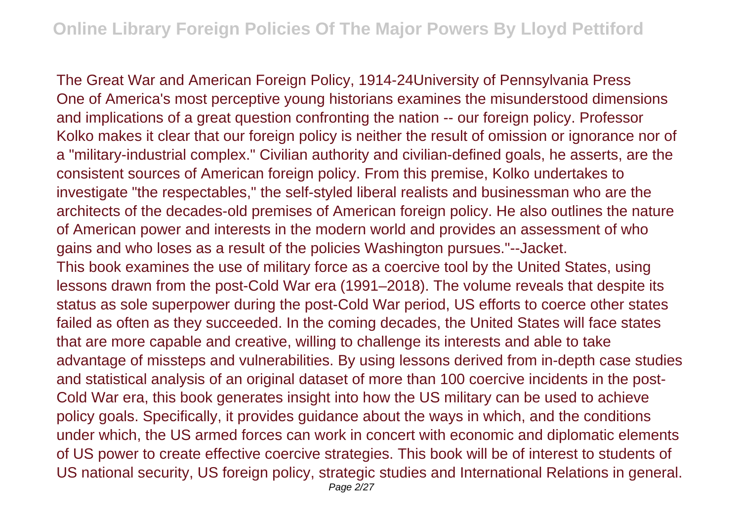The Great War and American Foreign Policy, 1914-24University of Pennsylvania Press One of America's most perceptive young historians examines the misunderstood dimensions and implications of a great question confronting the nation -- our foreign policy. Professor Kolko makes it clear that our foreign policy is neither the result of omission or ignorance nor of a "military-industrial complex." Civilian authority and civilian-defined goals, he asserts, are the consistent sources of American foreign policy. From this premise, Kolko undertakes to investigate "the respectables," the self-styled liberal realists and businessman who are the architects of the decades-old premises of American foreign policy. He also outlines the nature of American power and interests in the modern world and provides an assessment of who gains and who loses as a result of the policies Washington pursues."--Jacket. This book examines the use of military force as a coercive tool by the United States, using lessons drawn from the post-Cold War era (1991–2018). The volume reveals that despite its status as sole superpower during the post-Cold War period, US efforts to coerce other states failed as often as they succeeded. In the coming decades, the United States will face states that are more capable and creative, willing to challenge its interests and able to take advantage of missteps and vulnerabilities. By using lessons derived from in-depth case studies and statistical analysis of an original dataset of more than 100 coercive incidents in the post-Cold War era, this book generates insight into how the US military can be used to achieve policy goals. Specifically, it provides guidance about the ways in which, and the conditions under which, the US armed forces can work in concert with economic and diplomatic elements of US power to create effective coercive strategies. This book will be of interest to students of US national security, US foreign policy, strategic studies and International Relations in general. Page 2/27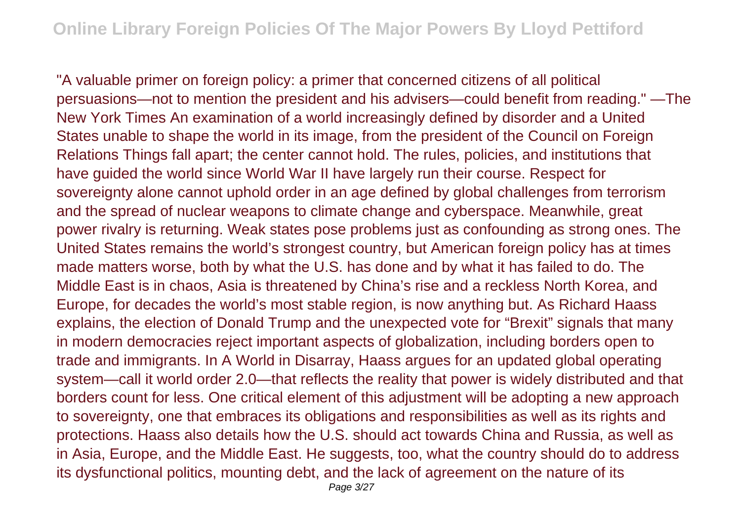"A valuable primer on foreign policy: a primer that concerned citizens of all political persuasions—not to mention the president and his advisers—could benefit from reading." —The New York Times An examination of a world increasingly defined by disorder and a United States unable to shape the world in its image, from the president of the Council on Foreign Relations Things fall apart; the center cannot hold. The rules, policies, and institutions that have guided the world since World War II have largely run their course. Respect for sovereignty alone cannot uphold order in an age defined by global challenges from terrorism and the spread of nuclear weapons to climate change and cyberspace. Meanwhile, great power rivalry is returning. Weak states pose problems just as confounding as strong ones. The United States remains the world's strongest country, but American foreign policy has at times made matters worse, both by what the U.S. has done and by what it has failed to do. The Middle East is in chaos, Asia is threatened by China's rise and a reckless North Korea, and Europe, for decades the world's most stable region, is now anything but. As Richard Haass explains, the election of Donald Trump and the unexpected vote for "Brexit" signals that many in modern democracies reject important aspects of globalization, including borders open to trade and immigrants. In A World in Disarray, Haass argues for an updated global operating system—call it world order 2.0—that reflects the reality that power is widely distributed and that borders count for less. One critical element of this adjustment will be adopting a new approach to sovereignty, one that embraces its obligations and responsibilities as well as its rights and protections. Haass also details how the U.S. should act towards China and Russia, as well as in Asia, Europe, and the Middle East. He suggests, too, what the country should do to address its dysfunctional politics, mounting debt, and the lack of agreement on the nature of its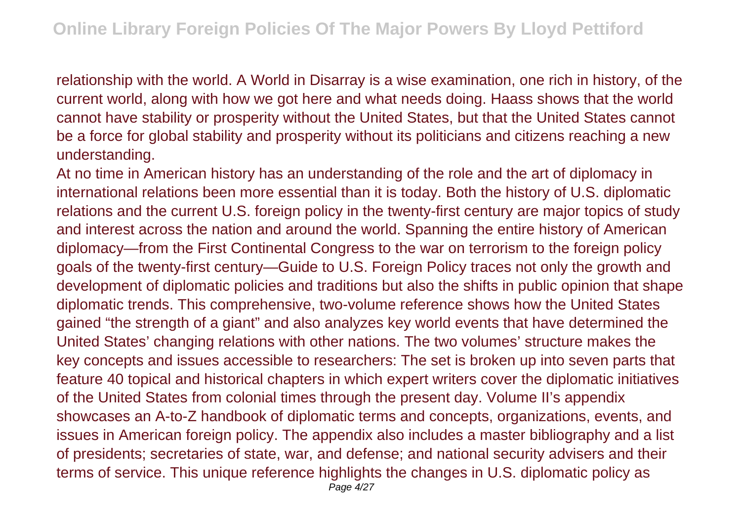relationship with the world. A World in Disarray is a wise examination, one rich in history, of the current world, along with how we got here and what needs doing. Haass shows that the world cannot have stability or prosperity without the United States, but that the United States cannot be a force for global stability and prosperity without its politicians and citizens reaching a new understanding.

At no time in American history has an understanding of the role and the art of diplomacy in international relations been more essential than it is today. Both the history of U.S. diplomatic relations and the current U.S. foreign policy in the twenty-first century are major topics of study and interest across the nation and around the world. Spanning the entire history of American diplomacy—from the First Continental Congress to the war on terrorism to the foreign policy goals of the twenty-first century—Guide to U.S. Foreign Policy traces not only the growth and development of diplomatic policies and traditions but also the shifts in public opinion that shape diplomatic trends. This comprehensive, two-volume reference shows how the United States gained "the strength of a giant" and also analyzes key world events that have determined the United States' changing relations with other nations. The two volumes' structure makes the key concepts and issues accessible to researchers: The set is broken up into seven parts that feature 40 topical and historical chapters in which expert writers cover the diplomatic initiatives of the United States from colonial times through the present day. Volume II's appendix showcases an A-to-Z handbook of diplomatic terms and concepts, organizations, events, and issues in American foreign policy. The appendix also includes a master bibliography and a list of presidents; secretaries of state, war, and defense; and national security advisers and their terms of service. This unique reference highlights the changes in U.S. diplomatic policy as Page 4/27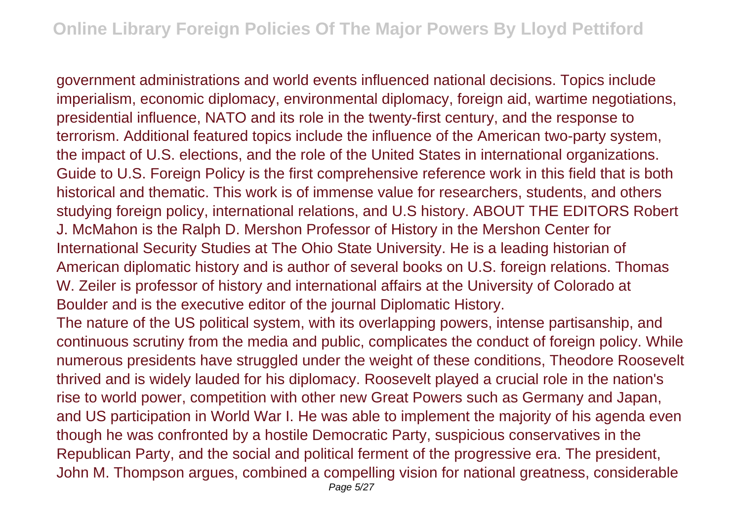government administrations and world events influenced national decisions. Topics include imperialism, economic diplomacy, environmental diplomacy, foreign aid, wartime negotiations, presidential influence, NATO and its role in the twenty-first century, and the response to terrorism. Additional featured topics include the influence of the American two-party system, the impact of U.S. elections, and the role of the United States in international organizations. Guide to U.S. Foreign Policy is the first comprehensive reference work in this field that is both historical and thematic. This work is of immense value for researchers, students, and others studying foreign policy, international relations, and U.S history. ABOUT THE EDITORS Robert J. McMahon is the Ralph D. Mershon Professor of History in the Mershon Center for International Security Studies at The Ohio State University. He is a leading historian of American diplomatic history and is author of several books on U.S. foreign relations. Thomas W. Zeiler is professor of history and international affairs at the University of Colorado at Boulder and is the executive editor of the journal Diplomatic History.

The nature of the US political system, with its overlapping powers, intense partisanship, and continuous scrutiny from the media and public, complicates the conduct of foreign policy. While numerous presidents have struggled under the weight of these conditions, Theodore Roosevelt thrived and is widely lauded for his diplomacy. Roosevelt played a crucial role in the nation's rise to world power, competition with other new Great Powers such as Germany and Japan, and US participation in World War I. He was able to implement the majority of his agenda even though he was confronted by a hostile Democratic Party, suspicious conservatives in the Republican Party, and the social and political ferment of the progressive era. The president, John M. Thompson argues, combined a compelling vision for national greatness, considerable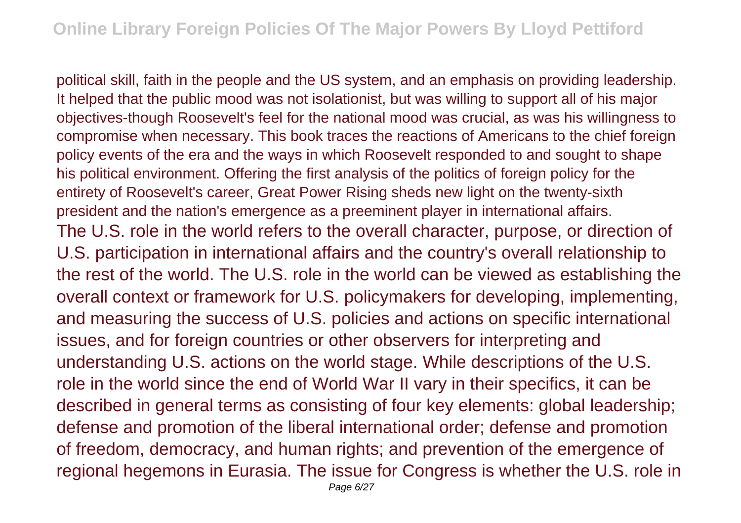political skill, faith in the people and the US system, and an emphasis on providing leadership. It helped that the public mood was not isolationist, but was willing to support all of his major objectives-though Roosevelt's feel for the national mood was crucial, as was his willingness to compromise when necessary. This book traces the reactions of Americans to the chief foreign policy events of the era and the ways in which Roosevelt responded to and sought to shape his political environment. Offering the first analysis of the politics of foreign policy for the entirety of Roosevelt's career, Great Power Rising sheds new light on the twenty-sixth president and the nation's emergence as a preeminent player in international affairs. The U.S. role in the world refers to the overall character, purpose, or direction of U.S. participation in international affairs and the country's overall relationship to the rest of the world. The U.S. role in the world can be viewed as establishing the overall context or framework for U.S. policymakers for developing, implementing, and measuring the success of U.S. policies and actions on specific international issues, and for foreign countries or other observers for interpreting and understanding U.S. actions on the world stage. While descriptions of the U.S. role in the world since the end of World War II vary in their specifics, it can be described in general terms as consisting of four key elements: global leadership; defense and promotion of the liberal international order; defense and promotion of freedom, democracy, and human rights; and prevention of the emergence of regional hegemons in Eurasia. The issue for Congress is whether the U.S. role in Page 6/27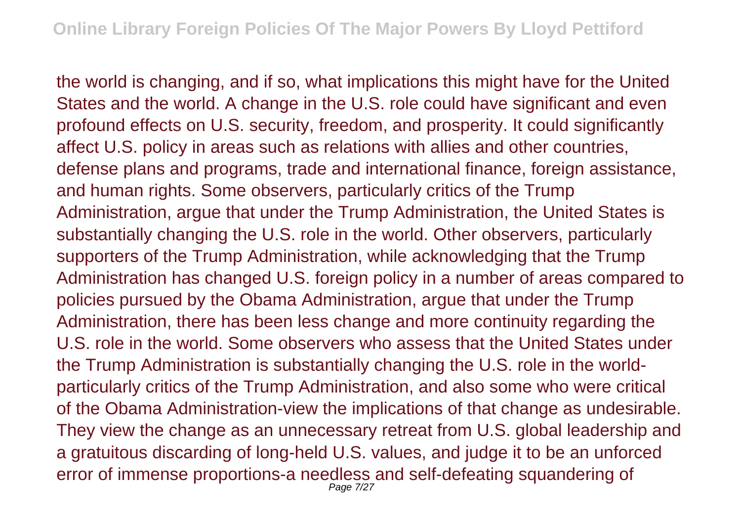the world is changing, and if so, what implications this might have for the United States and the world. A change in the U.S. role could have significant and even profound effects on U.S. security, freedom, and prosperity. It could significantly affect U.S. policy in areas such as relations with allies and other countries, defense plans and programs, trade and international finance, foreign assistance, and human rights. Some observers, particularly critics of the Trump Administration, argue that under the Trump Administration, the United States is substantially changing the U.S. role in the world. Other observers, particularly supporters of the Trump Administration, while acknowledging that the Trump Administration has changed U.S. foreign policy in a number of areas compared to policies pursued by the Obama Administration, argue that under the Trump Administration, there has been less change and more continuity regarding the U.S. role in the world. Some observers who assess that the United States under the Trump Administration is substantially changing the U.S. role in the worldparticularly critics of the Trump Administration, and also some who were critical of the Obama Administration-view the implications of that change as undesirable. They view the change as an unnecessary retreat from U.S. global leadership and a gratuitous discarding of long-held U.S. values, and judge it to be an unforced error of immense proportions-a needless and self-defeating squandering of Page 7/27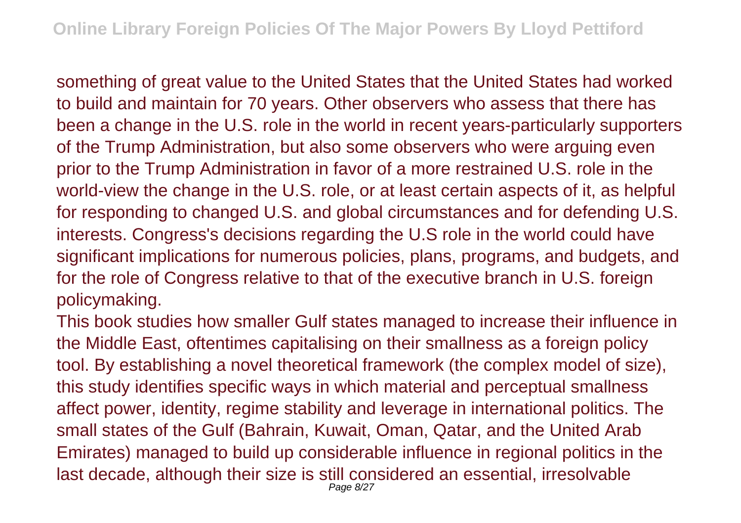something of great value to the United States that the United States had worked to build and maintain for 70 years. Other observers who assess that there has been a change in the U.S. role in the world in recent years-particularly supporters of the Trump Administration, but also some observers who were arguing even prior to the Trump Administration in favor of a more restrained U.S. role in the world-view the change in the U.S. role, or at least certain aspects of it, as helpful for responding to changed U.S. and global circumstances and for defending U.S. interests. Congress's decisions regarding the U.S role in the world could have significant implications for numerous policies, plans, programs, and budgets, and for the role of Congress relative to that of the executive branch in U.S. foreign policymaking.

This book studies how smaller Gulf states managed to increase their influence in the Middle East, oftentimes capitalising on their smallness as a foreign policy tool. By establishing a novel theoretical framework (the complex model of size), this study identifies specific ways in which material and perceptual smallness affect power, identity, regime stability and leverage in international politics. The small states of the Gulf (Bahrain, Kuwait, Oman, Qatar, and the United Arab Emirates) managed to build up considerable influence in regional politics in the last decade, although their size is still considered an essential, irresolvable Page 8/27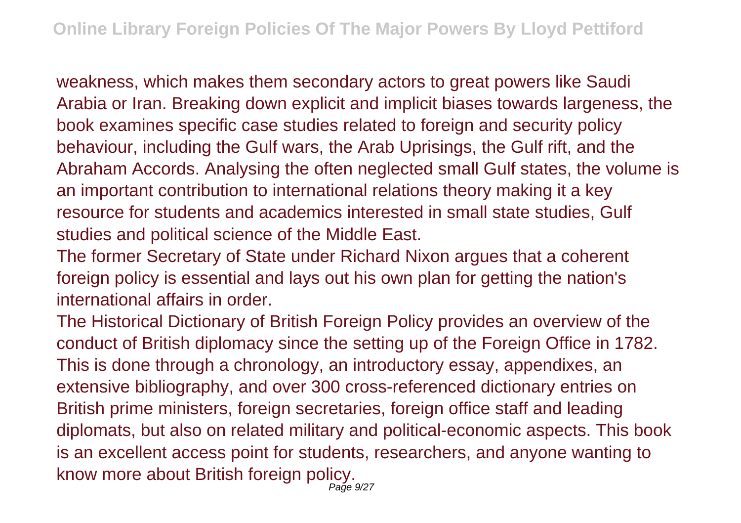weakness, which makes them secondary actors to great powers like Saudi Arabia or Iran. Breaking down explicit and implicit biases towards largeness, the book examines specific case studies related to foreign and security policy behaviour, including the Gulf wars, the Arab Uprisings, the Gulf rift, and the Abraham Accords. Analysing the often neglected small Gulf states, the volume is an important contribution to international relations theory making it a key resource for students and academics interested in small state studies, Gulf studies and political science of the Middle East.

The former Secretary of State under Richard Nixon argues that a coherent foreign policy is essential and lays out his own plan for getting the nation's international affairs in order.

The Historical Dictionary of British Foreign Policy provides an overview of the conduct of British diplomacy since the setting up of the Foreign Office in 1782. This is done through a chronology, an introductory essay, appendixes, an extensive bibliography, and over 300 cross-referenced dictionary entries on British prime ministers, foreign secretaries, foreign office staff and leading diplomats, but also on related military and political-economic aspects. This book is an excellent access point for students, researchers, and anyone wanting to know more about British foreign policy. Page 9/27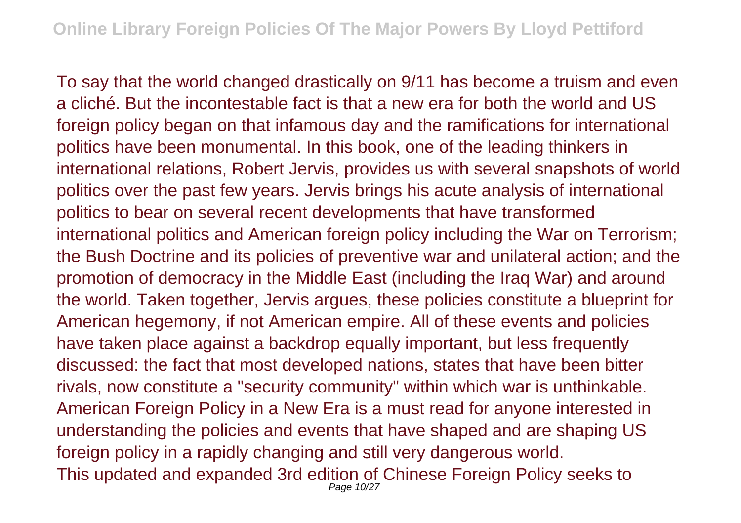To say that the world changed drastically on 9/11 has become a truism and even a cliché. But the incontestable fact is that a new era for both the world and US foreign policy began on that infamous day and the ramifications for international politics have been monumental. In this book, one of the leading thinkers in international relations, Robert Jervis, provides us with several snapshots of world politics over the past few years. Jervis brings his acute analysis of international politics to bear on several recent developments that have transformed international politics and American foreign policy including the War on Terrorism; the Bush Doctrine and its policies of preventive war and unilateral action; and the promotion of democracy in the Middle East (including the Iraq War) and around the world. Taken together, Jervis argues, these policies constitute a blueprint for American hegemony, if not American empire. All of these events and policies have taken place against a backdrop equally important, but less frequently discussed: the fact that most developed nations, states that have been bitter rivals, now constitute a "security community" within which war is unthinkable. American Foreign Policy in a New Era is a must read for anyone interested in understanding the policies and events that have shaped and are shaping US foreign policy in a rapidly changing and still very dangerous world. This updated and expanded 3rd edition of Chinese Foreign Policy seeks to Page 10/27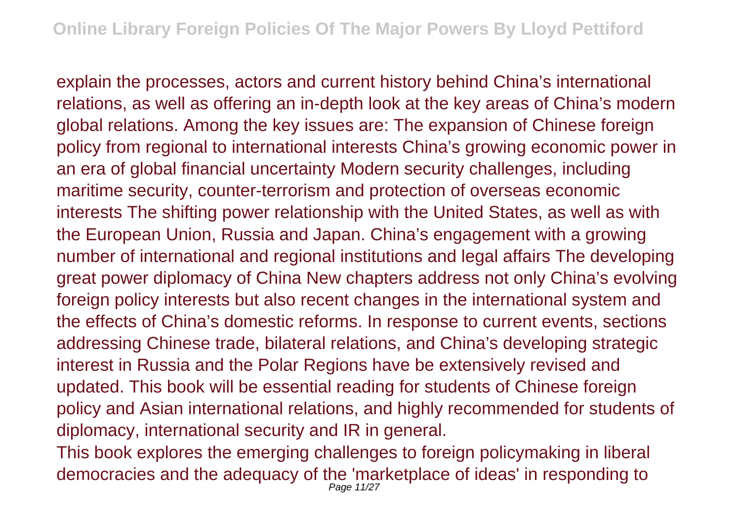explain the processes, actors and current history behind China's international relations, as well as offering an in-depth look at the key areas of China's modern global relations. Among the key issues are: The expansion of Chinese foreign policy from regional to international interests China's growing economic power in an era of global financial uncertainty Modern security challenges, including maritime security, counter-terrorism and protection of overseas economic interests The shifting power relationship with the United States, as well as with the European Union, Russia and Japan. China's engagement with a growing number of international and regional institutions and legal affairs The developing great power diplomacy of China New chapters address not only China's evolving foreign policy interests but also recent changes in the international system and the effects of China's domestic reforms. In response to current events, sections addressing Chinese trade, bilateral relations, and China's developing strategic interest in Russia and the Polar Regions have be extensively revised and updated. This book will be essential reading for students of Chinese foreign policy and Asian international relations, and highly recommended for students of diplomacy, international security and IR in general.

This book explores the emerging challenges to foreign policymaking in liberal democracies and the adequacy of the 'marketplace of ideas' in responding to Page 11/27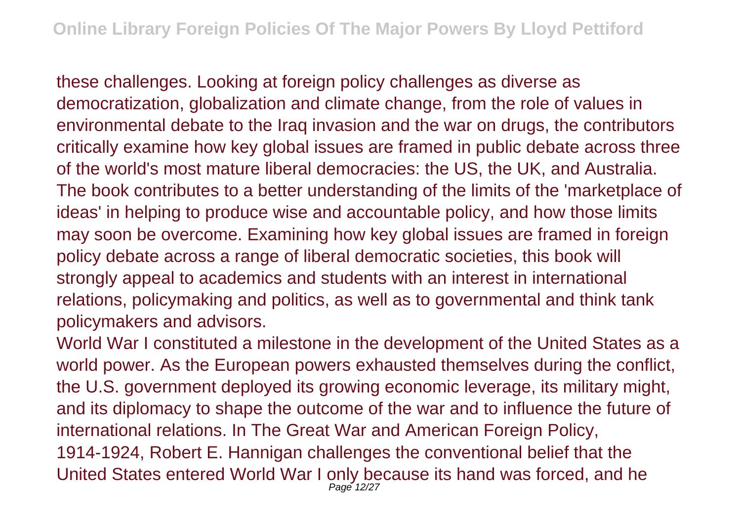these challenges. Looking at foreign policy challenges as diverse as democratization, globalization and climate change, from the role of values in environmental debate to the Iraq invasion and the war on drugs, the contributors critically examine how key global issues are framed in public debate across three of the world's most mature liberal democracies: the US, the UK, and Australia. The book contributes to a better understanding of the limits of the 'marketplace of ideas' in helping to produce wise and accountable policy, and how those limits may soon be overcome. Examining how key global issues are framed in foreign policy debate across a range of liberal democratic societies, this book will strongly appeal to academics and students with an interest in international relations, policymaking and politics, as well as to governmental and think tank policymakers and advisors.

World War I constituted a milestone in the development of the United States as a world power. As the European powers exhausted themselves during the conflict, the U.S. government deployed its growing economic leverage, its military might, and its diplomacy to shape the outcome of the war and to influence the future of international relations. In The Great War and American Foreign Policy, 1914-1924, Robert E. Hannigan challenges the conventional belief that the United States entered World War I only because its hand was forced, and he Page 12/27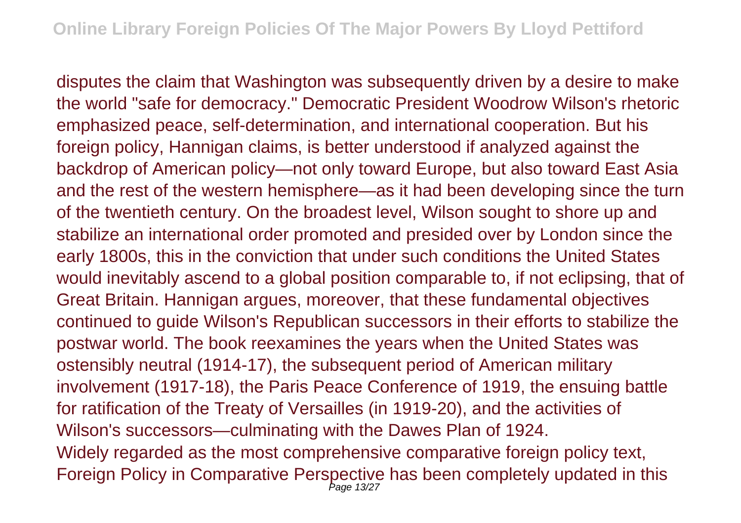disputes the claim that Washington was subsequently driven by a desire to make the world "safe for democracy." Democratic President Woodrow Wilson's rhetoric emphasized peace, self-determination, and international cooperation. But his foreign policy, Hannigan claims, is better understood if analyzed against the backdrop of American policy—not only toward Europe, but also toward East Asia and the rest of the western hemisphere—as it had been developing since the turn of the twentieth century. On the broadest level, Wilson sought to shore up and stabilize an international order promoted and presided over by London since the early 1800s, this in the conviction that under such conditions the United States would inevitably ascend to a global position comparable to, if not eclipsing, that of Great Britain. Hannigan argues, moreover, that these fundamental objectives continued to guide Wilson's Republican successors in their efforts to stabilize the postwar world. The book reexamines the years when the United States was ostensibly neutral (1914-17), the subsequent period of American military involvement (1917-18), the Paris Peace Conference of 1919, the ensuing battle for ratification of the Treaty of Versailles (in 1919-20), and the activities of Wilson's successors—culminating with the Dawes Plan of 1924. Widely regarded as the most comprehensive comparative foreign policy text, Foreign Policy in Comparative Perspective has been completely updated in this Page 13/27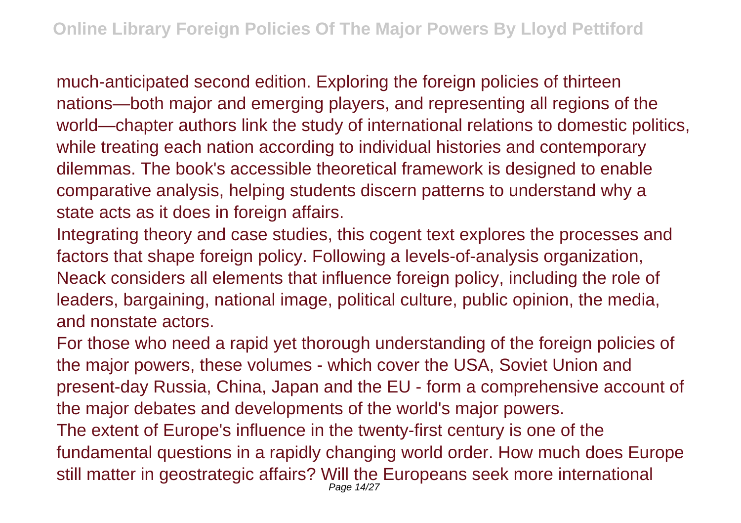much-anticipated second edition. Exploring the foreign policies of thirteen nations—both major and emerging players, and representing all regions of the world—chapter authors link the study of international relations to domestic politics, while treating each nation according to individual histories and contemporary dilemmas. The book's accessible theoretical framework is designed to enable comparative analysis, helping students discern patterns to understand why a state acts as it does in foreign affairs.

Integrating theory and case studies, this cogent text explores the processes and factors that shape foreign policy. Following a levels-of-analysis organization, Neack considers all elements that influence foreign policy, including the role of leaders, bargaining, national image, political culture, public opinion, the media, and nonstate actors.

For those who need a rapid yet thorough understanding of the foreign policies of the major powers, these volumes - which cover the USA, Soviet Union and present-day Russia, China, Japan and the EU - form a comprehensive account of the major debates and developments of the world's major powers. The extent of Europe's influence in the twenty-first century is one of the fundamental questions in a rapidly changing world order. How much does Europe still matter in geostrategic affairs? Will the Europeans seek more international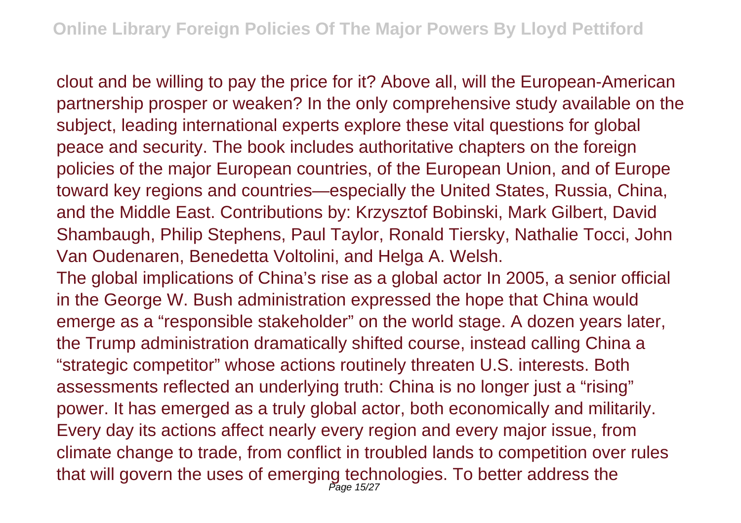clout and be willing to pay the price for it? Above all, will the European-American partnership prosper or weaken? In the only comprehensive study available on the subject, leading international experts explore these vital questions for global peace and security. The book includes authoritative chapters on the foreign policies of the major European countries, of the European Union, and of Europe toward key regions and countries—especially the United States, Russia, China, and the Middle East. Contributions by: Krzysztof Bobinski, Mark Gilbert, David Shambaugh, Philip Stephens, Paul Taylor, Ronald Tiersky, Nathalie Tocci, John Van Oudenaren, Benedetta Voltolini, and Helga A. Welsh.

The global implications of China's rise as a global actor In 2005, a senior official in the George W. Bush administration expressed the hope that China would emerge as a "responsible stakeholder" on the world stage. A dozen years later, the Trump administration dramatically shifted course, instead calling China a "strategic competitor" whose actions routinely threaten U.S. interests. Both assessments reflected an underlying truth: China is no longer just a "rising" power. It has emerged as a truly global actor, both economically and militarily. Every day its actions affect nearly every region and every major issue, from climate change to trade, from conflict in troubled lands to competition over rules that will govern the uses of emerging technologies. To better address the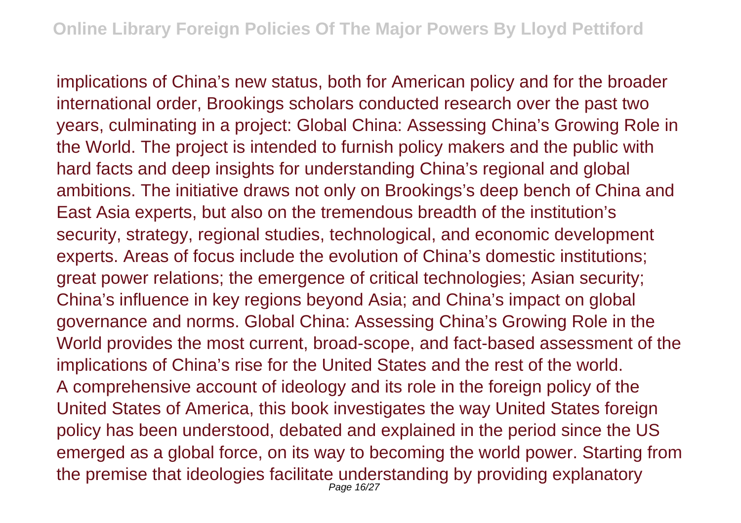implications of China's new status, both for American policy and for the broader international order, Brookings scholars conducted research over the past two years, culminating in a project: Global China: Assessing China's Growing Role in the World. The project is intended to furnish policy makers and the public with hard facts and deep insights for understanding China's regional and global ambitions. The initiative draws not only on Brookings's deep bench of China and East Asia experts, but also on the tremendous breadth of the institution's security, strategy, regional studies, technological, and economic development experts. Areas of focus include the evolution of China's domestic institutions; great power relations; the emergence of critical technologies; Asian security; China's influence in key regions beyond Asia; and China's impact on global governance and norms. Global China: Assessing China's Growing Role in the World provides the most current, broad-scope, and fact-based assessment of the implications of China's rise for the United States and the rest of the world. A comprehensive account of ideology and its role in the foreign policy of the United States of America, this book investigates the way United States foreign policy has been understood, debated and explained in the period since the US emerged as a global force, on its way to becoming the world power. Starting from the premise that ideologies facilitate understanding by providing explanatory Page 16/27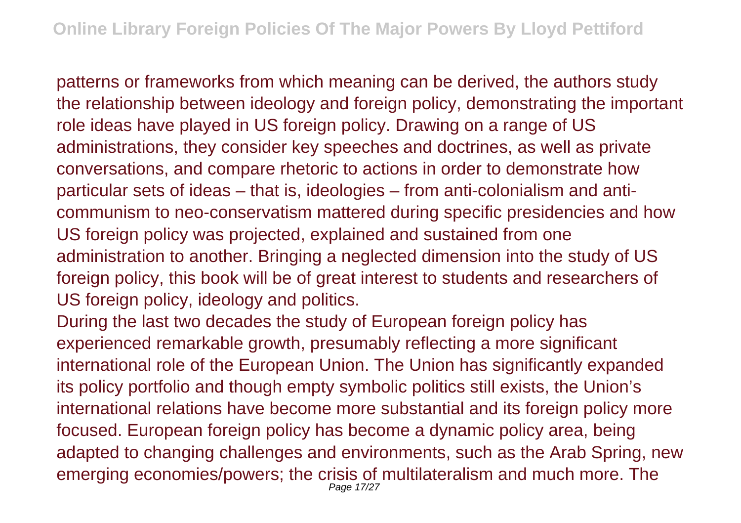patterns or frameworks from which meaning can be derived, the authors study the relationship between ideology and foreign policy, demonstrating the important role ideas have played in US foreign policy. Drawing on a range of US administrations, they consider key speeches and doctrines, as well as private conversations, and compare rhetoric to actions in order to demonstrate how particular sets of ideas – that is, ideologies – from anti-colonialism and anticommunism to neo-conservatism mattered during specific presidencies and how US foreign policy was projected, explained and sustained from one administration to another. Bringing a neglected dimension into the study of US foreign policy, this book will be of great interest to students and researchers of US foreign policy, ideology and politics.

During the last two decades the study of European foreign policy has experienced remarkable growth, presumably reflecting a more significant international role of the European Union. The Union has significantly expanded its policy portfolio and though empty symbolic politics still exists, the Union's international relations have become more substantial and its foreign policy more focused. European foreign policy has become a dynamic policy area, being adapted to changing challenges and environments, such as the Arab Spring, new emerging economies/powers; the crisis of multilateralism and much more. The Page 17/27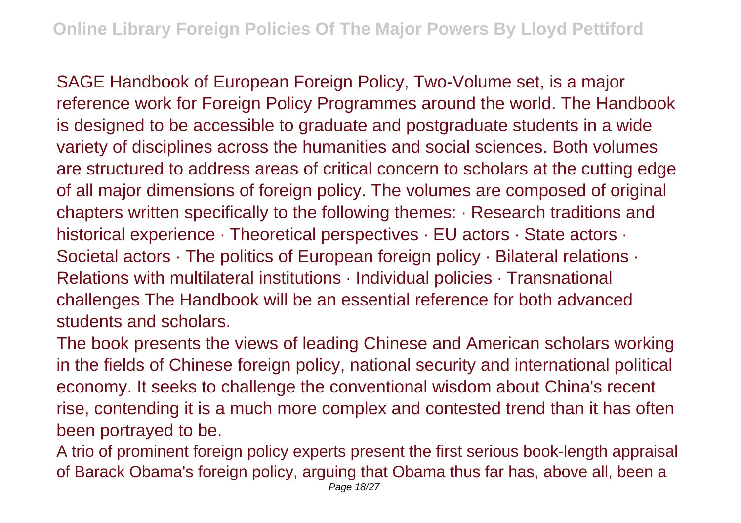SAGE Handbook of European Foreign Policy, Two-Volume set, is a major reference work for Foreign Policy Programmes around the world. The Handbook is designed to be accessible to graduate and postgraduate students in a wide variety of disciplines across the humanities and social sciences. Both volumes are structured to address areas of critical concern to scholars at the cutting edge of all major dimensions of foreign policy. The volumes are composed of original chapters written specifically to the following themes: · Research traditions and historical experience · Theoretical perspectives · EU actors · State actors · Societal actors  $\cdot$  The politics of European foreign policy  $\cdot$  Bilateral relations  $\cdot$ Relations with multilateral institutions · Individual policies · Transnational challenges The Handbook will be an essential reference for both advanced students and scholars.

The book presents the views of leading Chinese and American scholars working in the fields of Chinese foreign policy, national security and international political economy. It seeks to challenge the conventional wisdom about China's recent rise, contending it is a much more complex and contested trend than it has often been portrayed to be.

A trio of prominent foreign policy experts present the first serious book-length appraisal of Barack Obama's foreign policy, arguing that Obama thus far has, above all, been a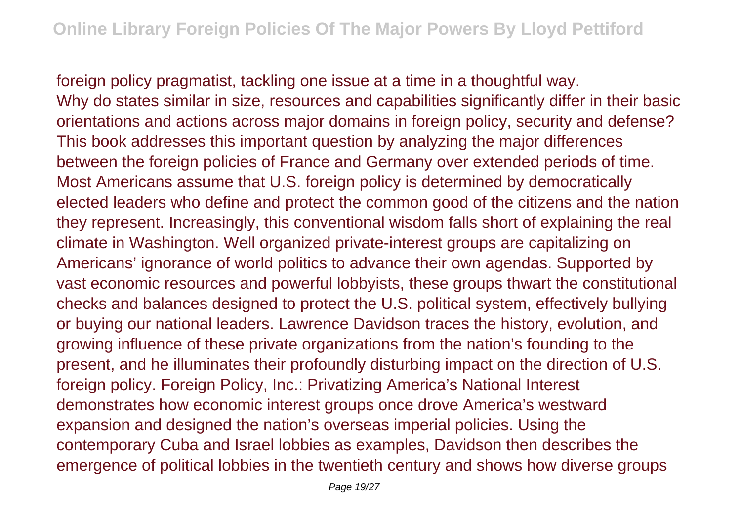foreign policy pragmatist, tackling one issue at a time in a thoughtful way. Why do states similar in size, resources and capabilities significantly differ in their basic orientations and actions across major domains in foreign policy, security and defense? This book addresses this important question by analyzing the major differences between the foreign policies of France and Germany over extended periods of time. Most Americans assume that U.S. foreign policy is determined by democratically elected leaders who define and protect the common good of the citizens and the nation they represent. Increasingly, this conventional wisdom falls short of explaining the real climate in Washington. Well organized private-interest groups are capitalizing on Americans' ignorance of world politics to advance their own agendas. Supported by vast economic resources and powerful lobbyists, these groups thwart the constitutional checks and balances designed to protect the U.S. political system, effectively bullying or buying our national leaders. Lawrence Davidson traces the history, evolution, and growing influence of these private organizations from the nation's founding to the present, and he illuminates their profoundly disturbing impact on the direction of U.S. foreign policy. Foreign Policy, Inc.: Privatizing America's National Interest demonstrates how economic interest groups once drove America's westward expansion and designed the nation's overseas imperial policies. Using the contemporary Cuba and Israel lobbies as examples, Davidson then describes the emergence of political lobbies in the twentieth century and shows how diverse groups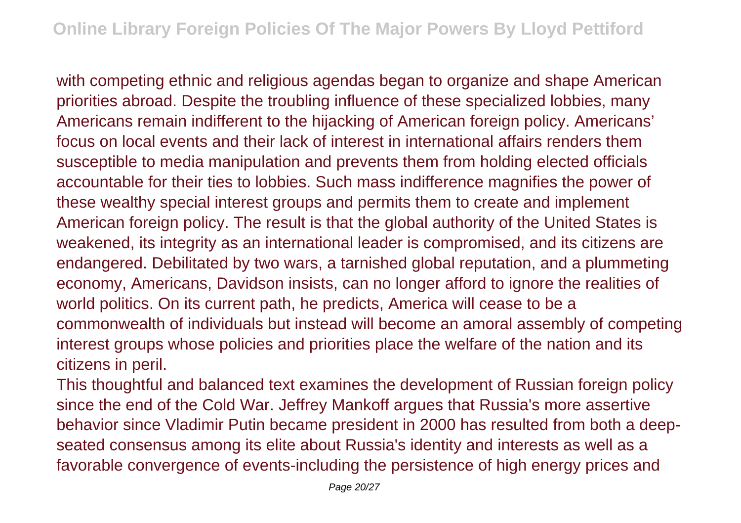with competing ethnic and religious agendas began to organize and shape American priorities abroad. Despite the troubling influence of these specialized lobbies, many Americans remain indifferent to the hijacking of American foreign policy. Americans' focus on local events and their lack of interest in international affairs renders them susceptible to media manipulation and prevents them from holding elected officials accountable for their ties to lobbies. Such mass indifference magnifies the power of these wealthy special interest groups and permits them to create and implement American foreign policy. The result is that the global authority of the United States is weakened, its integrity as an international leader is compromised, and its citizens are endangered. Debilitated by two wars, a tarnished global reputation, and a plummeting economy, Americans, Davidson insists, can no longer afford to ignore the realities of world politics. On its current path, he predicts, America will cease to be a commonwealth of individuals but instead will become an amoral assembly of competing interest groups whose policies and priorities place the welfare of the nation and its citizens in peril.

This thoughtful and balanced text examines the development of Russian foreign policy since the end of the Cold War. Jeffrey Mankoff argues that Russia's more assertive behavior since Vladimir Putin became president in 2000 has resulted from both a deepseated consensus among its elite about Russia's identity and interests as well as a favorable convergence of events-including the persistence of high energy prices and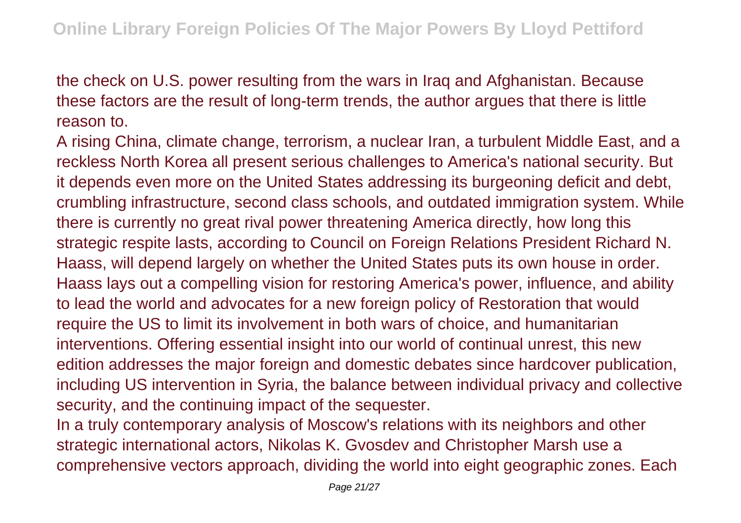the check on U.S. power resulting from the wars in Iraq and Afghanistan. Because these factors are the result of long-term trends, the author argues that there is little reason to.

A rising China, climate change, terrorism, a nuclear Iran, a turbulent Middle East, and a reckless North Korea all present serious challenges to America's national security. But it depends even more on the United States addressing its burgeoning deficit and debt, crumbling infrastructure, second class schools, and outdated immigration system. While there is currently no great rival power threatening America directly, how long this strategic respite lasts, according to Council on Foreign Relations President Richard N. Haass, will depend largely on whether the United States puts its own house in order. Haass lays out a compelling vision for restoring America's power, influence, and ability to lead the world and advocates for a new foreign policy of Restoration that would require the US to limit its involvement in both wars of choice, and humanitarian interventions. Offering essential insight into our world of continual unrest, this new edition addresses the major foreign and domestic debates since hardcover publication, including US intervention in Syria, the balance between individual privacy and collective security, and the continuing impact of the sequester.

In a truly contemporary analysis of Moscow's relations with its neighbors and other strategic international actors, Nikolas K. Gvosdev and Christopher Marsh use a comprehensive vectors approach, dividing the world into eight geographic zones. Each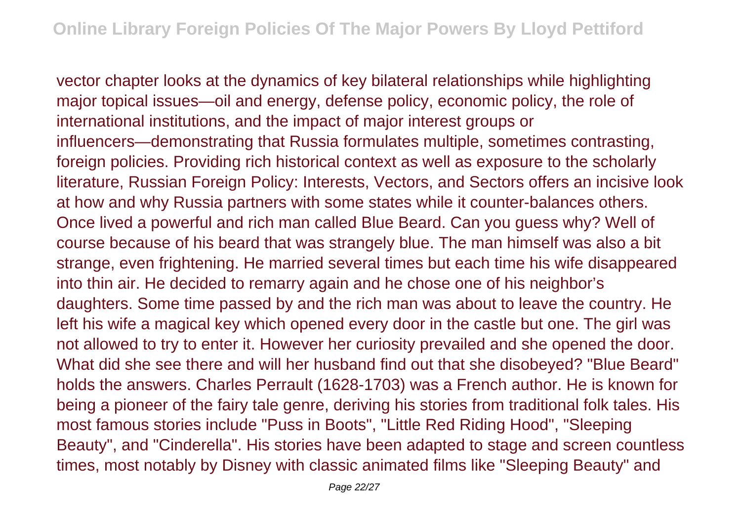vector chapter looks at the dynamics of key bilateral relationships while highlighting major topical issues—oil and energy, defense policy, economic policy, the role of international institutions, and the impact of major interest groups or influencers—demonstrating that Russia formulates multiple, sometimes contrasting, foreign policies. Providing rich historical context as well as exposure to the scholarly literature, Russian Foreign Policy: Interests, Vectors, and Sectors offers an incisive look at how and why Russia partners with some states while it counter-balances others. Once lived a powerful and rich man called Blue Beard. Can you guess why? Well of course because of his beard that was strangely blue. The man himself was also a bit strange, even frightening. He married several times but each time his wife disappeared into thin air. He decided to remarry again and he chose one of his neighbor's daughters. Some time passed by and the rich man was about to leave the country. He left his wife a magical key which opened every door in the castle but one. The girl was not allowed to try to enter it. However her curiosity prevailed and she opened the door. What did she see there and will her husband find out that she disobeyed? "Blue Beard" holds the answers. Charles Perrault (1628-1703) was a French author. He is known for being a pioneer of the fairy tale genre, deriving his stories from traditional folk tales. His most famous stories include "Puss in Boots", "Little Red Riding Hood", "Sleeping Beauty", and "Cinderella". His stories have been adapted to stage and screen countless times, most notably by Disney with classic animated films like "Sleeping Beauty" and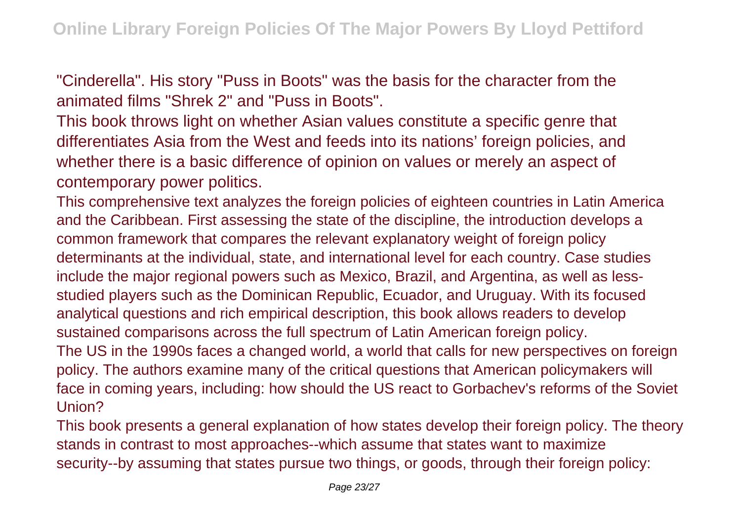"Cinderella". His story "Puss in Boots" was the basis for the character from the animated films "Shrek 2" and "Puss in Boots".

This book throws light on whether Asian values constitute a specific genre that differentiates Asia from the West and feeds into its nations' foreign policies, and whether there is a basic difference of opinion on values or merely an aspect of contemporary power politics.

This comprehensive text analyzes the foreign policies of eighteen countries in Latin America and the Caribbean. First assessing the state of the discipline, the introduction develops a common framework that compares the relevant explanatory weight of foreign policy determinants at the individual, state, and international level for each country. Case studies include the major regional powers such as Mexico, Brazil, and Argentina, as well as lessstudied players such as the Dominican Republic, Ecuador, and Uruguay. With its focused analytical questions and rich empirical description, this book allows readers to develop sustained comparisons across the full spectrum of Latin American foreign policy. The US in the 1990s faces a changed world, a world that calls for new perspectives on foreign policy. The authors examine many of the critical questions that American policymakers will face in coming years, including: how should the US react to Gorbachev's reforms of the Soviet Union?

This book presents a general explanation of how states develop their foreign policy. The theory stands in contrast to most approaches--which assume that states want to maximize security--by assuming that states pursue two things, or goods, through their foreign policy: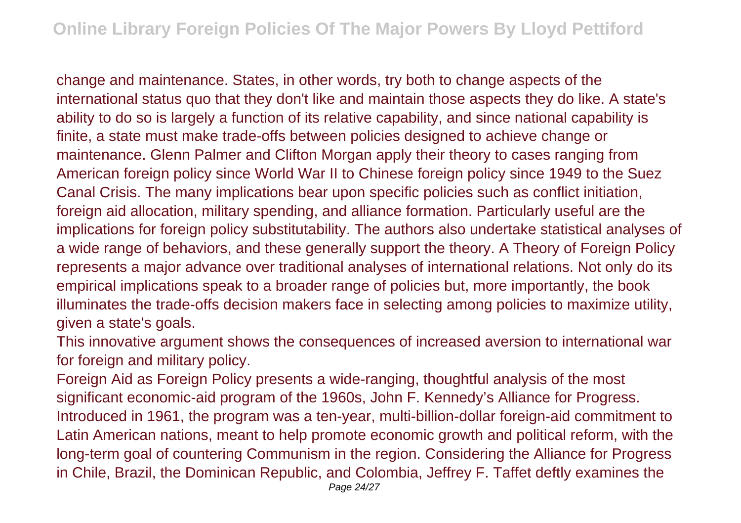change and maintenance. States, in other words, try both to change aspects of the international status quo that they don't like and maintain those aspects they do like. A state's ability to do so is largely a function of its relative capability, and since national capability is finite, a state must make trade-offs between policies designed to achieve change or maintenance. Glenn Palmer and Clifton Morgan apply their theory to cases ranging from American foreign policy since World War II to Chinese foreign policy since 1949 to the Suez Canal Crisis. The many implications bear upon specific policies such as conflict initiation, foreign aid allocation, military spending, and alliance formation. Particularly useful are the implications for foreign policy substitutability. The authors also undertake statistical analyses of a wide range of behaviors, and these generally support the theory. A Theory of Foreign Policy represents a major advance over traditional analyses of international relations. Not only do its empirical implications speak to a broader range of policies but, more importantly, the book illuminates the trade-offs decision makers face in selecting among policies to maximize utility, given a state's goals.

This innovative argument shows the consequences of increased aversion to international war for foreign and military policy.

Foreign Aid as Foreign Policy presents a wide-ranging, thoughtful analysis of the most significant economic-aid program of the 1960s, John F. Kennedy's Alliance for Progress. Introduced in 1961, the program was a ten-year, multi-billion-dollar foreign-aid commitment to Latin American nations, meant to help promote economic growth and political reform, with the long-term goal of countering Communism in the region. Considering the Alliance for Progress in Chile, Brazil, the Dominican Republic, and Colombia, Jeffrey F. Taffet deftly examines the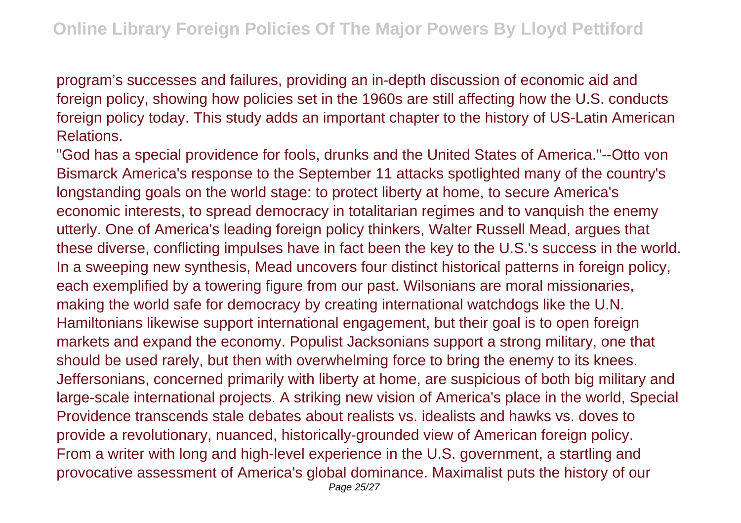program's successes and failures, providing an in-depth discussion of economic aid and foreign policy, showing how policies set in the 1960s are still affecting how the U.S. conducts foreign policy today. This study adds an important chapter to the history of US-Latin American Relations.

"God has a special providence for fools, drunks and the United States of America."--Otto von Bismarck America's response to the September 11 attacks spotlighted many of the country's longstanding goals on the world stage: to protect liberty at home, to secure America's economic interests, to spread democracy in totalitarian regimes and to vanquish the enemy utterly. One of America's leading foreign policy thinkers, Walter Russell Mead, argues that these diverse, conflicting impulses have in fact been the key to the U.S.'s success in the world. In a sweeping new synthesis, Mead uncovers four distinct historical patterns in foreign policy, each exemplified by a towering figure from our past. Wilsonians are moral missionaries, making the world safe for democracy by creating international watchdogs like the U.N. Hamiltonians likewise support international engagement, but their goal is to open foreign markets and expand the economy. Populist Jacksonians support a strong military, one that should be used rarely, but then with overwhelming force to bring the enemy to its knees. Jeffersonians, concerned primarily with liberty at home, are suspicious of both big military and large-scale international projects. A striking new vision of America's place in the world, Special Providence transcends stale debates about realists vs. idealists and hawks vs. doves to provide a revolutionary, nuanced, historically-grounded view of American foreign policy. From a writer with long and high-level experience in the U.S. government, a startling and provocative assessment of America's global dominance. Maximalist puts the history of our Page 25/27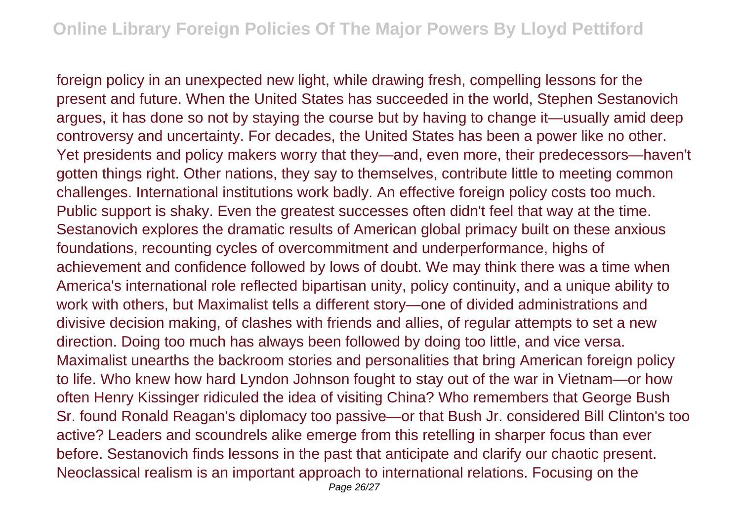foreign policy in an unexpected new light, while drawing fresh, compelling lessons for the present and future. When the United States has succeeded in the world, Stephen Sestanovich argues, it has done so not by staying the course but by having to change it—usually amid deep controversy and uncertainty. For decades, the United States has been a power like no other. Yet presidents and policy makers worry that they—and, even more, their predecessors—haven't gotten things right. Other nations, they say to themselves, contribute little to meeting common challenges. International institutions work badly. An effective foreign policy costs too much. Public support is shaky. Even the greatest successes often didn't feel that way at the time. Sestanovich explores the dramatic results of American global primacy built on these anxious foundations, recounting cycles of overcommitment and underperformance, highs of achievement and confidence followed by lows of doubt. We may think there was a time when America's international role reflected bipartisan unity, policy continuity, and a unique ability to work with others, but Maximalist tells a different story—one of divided administrations and divisive decision making, of clashes with friends and allies, of regular attempts to set a new direction. Doing too much has always been followed by doing too little, and vice versa. Maximalist unearths the backroom stories and personalities that bring American foreign policy to life. Who knew how hard Lyndon Johnson fought to stay out of the war in Vietnam—or how often Henry Kissinger ridiculed the idea of visiting China? Who remembers that George Bush Sr. found Ronald Reagan's diplomacy too passive—or that Bush Jr. considered Bill Clinton's too active? Leaders and scoundrels alike emerge from this retelling in sharper focus than ever before. Sestanovich finds lessons in the past that anticipate and clarify our chaotic present. Neoclassical realism is an important approach to international relations. Focusing on the Page 26/27